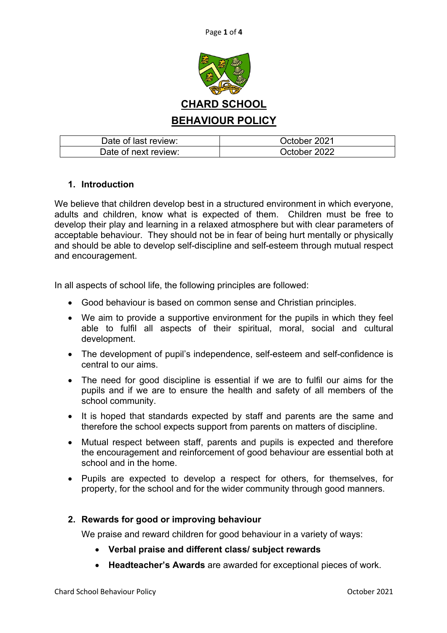

| Date of last review: | October 2021 |
|----------------------|--------------|
| Date of next review: | October 2022 |

## **1. Introduction**

We believe that children develop best in a structured environment in which everyone, adults and children, know what is expected of them. Children must be free to develop their play and learning in a relaxed atmosphere but with clear parameters of acceptable behaviour. They should not be in fear of being hurt mentally or physically and should be able to develop self-discipline and self-esteem through mutual respect and encouragement.

In all aspects of school life, the following principles are followed:

- Good behaviour is based on common sense and Christian principles.
- We aim to provide a supportive environment for the pupils in which they feel able to fulfil all aspects of their spiritual, moral, social and cultural development.
- The development of pupil's independence, self-esteem and self-confidence is central to our aims.
- The need for good discipline is essential if we are to fulfil our aims for the pupils and if we are to ensure the health and safety of all members of the school community.
- It is hoped that standards expected by staff and parents are the same and therefore the school expects support from parents on matters of discipline.
- Mutual respect between staff, parents and pupils is expected and therefore the encouragement and reinforcement of good behaviour are essential both at school and in the home.
- Pupils are expected to develop a respect for others, for themselves, for property, for the school and for the wider community through good manners.

## **2. Rewards for good or improving behaviour**

We praise and reward children for good behaviour in a variety of ways:

- **Verbal praise and different class/ subject rewards**
- **Headteacher's Awards** are awarded for exceptional pieces of work.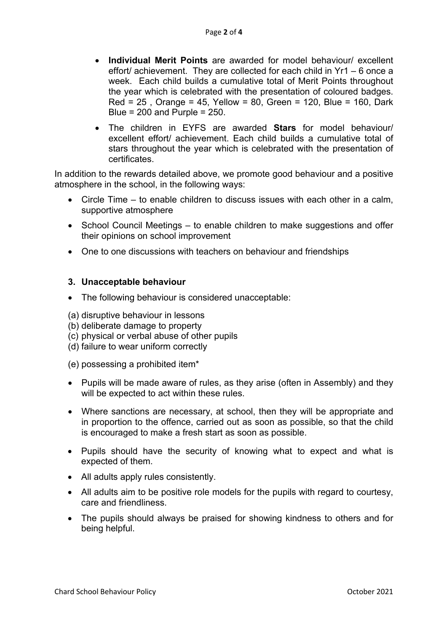- **Individual Merit Points** are awarded for model behaviour/ excellent effort/ achievement. They are collected for each child in Yr1 – 6 once a week. Each child builds a cumulative total of Merit Points throughout the year which is celebrated with the presentation of coloured badges. Red = 25 , Orange = 45, Yellow = 80, Green = 120, Blue = 160, Dark Blue =  $200$  and Purple =  $250$ .
- The children in EYFS are awarded **Stars** for model behaviour/ excellent effort/ achievement. Each child builds a cumulative total of stars throughout the year which is celebrated with the presentation of certificates.

In addition to the rewards detailed above, we promote good behaviour and a positive atmosphere in the school, in the following ways:

- Circle Time to enable children to discuss issues with each other in a calm, supportive atmosphere
- School Council Meetings to enable children to make suggestions and offer their opinions on school improvement
- One to one discussions with teachers on behaviour and friendships

## **3. Unacceptable behaviour**

- The following behaviour is considered unacceptable:
- (a) disruptive behaviour in lessons
- (b) deliberate damage to property
- (c) physical or verbal abuse of other pupils
- (d) failure to wear uniform correctly
- (e) possessing a prohibited item\*
- Pupils will be made aware of rules, as they arise (often in Assembly) and they will be expected to act within these rules.
- Where sanctions are necessary, at school, then they will be appropriate and in proportion to the offence, carried out as soon as possible, so that the child is encouraged to make a fresh start as soon as possible.
- Pupils should have the security of knowing what to expect and what is expected of them.
- All adults apply rules consistently.
- All adults aim to be positive role models for the pupils with regard to courtesy, care and friendliness.
- The pupils should always be praised for showing kindness to others and for being helpful.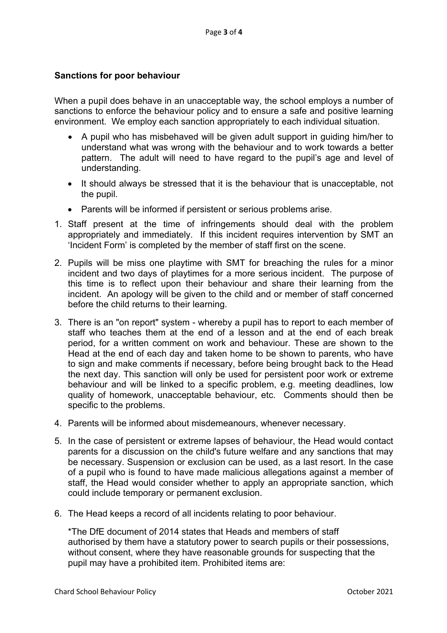## **Sanctions for poor behaviour**

When a pupil does behave in an unacceptable way, the school employs a number of sanctions to enforce the behaviour policy and to ensure a safe and positive learning environment. We employ each sanction appropriately to each individual situation.

- A pupil who has misbehaved will be given adult support in guiding him/her to understand what was wrong with the behaviour and to work towards a better pattern. The adult will need to have regard to the pupil's age and level of understanding.
- It should always be stressed that it is the behaviour that is unacceptable, not the pupil.
- Parents will be informed if persistent or serious problems arise.
- 1. Staff present at the time of infringements should deal with the problem appropriately and immediately. If this incident requires intervention by SMT an 'Incident Form' is completed by the member of staff first on the scene.
- 2. Pupils will be miss one playtime with SMT for breaching the rules for a minor incident and two days of playtimes for a more serious incident. The purpose of this time is to reflect upon their behaviour and share their learning from the incident. An apology will be given to the child and or member of staff concerned before the child returns to their learning.
- 3. There is an "on report" system whereby a pupil has to report to each member of staff who teaches them at the end of a lesson and at the end of each break period, for a written comment on work and behaviour. These are shown to the Head at the end of each day and taken home to be shown to parents, who have to sign and make comments if necessary, before being brought back to the Head the next day. This sanction will only be used for persistent poor work or extreme behaviour and will be linked to a specific problem, e.g. meeting deadlines, low quality of homework, unacceptable behaviour, etc. Comments should then be specific to the problems.
- 4. Parents will be informed about misdemeanours, whenever necessary.
- 5. In the case of persistent or extreme lapses of behaviour, the Head would contact parents for a discussion on the child's future welfare and any sanctions that may be necessary. Suspension or exclusion can be used, as a last resort. In the case of a pupil who is found to have made malicious allegations against a member of staff, the Head would consider whether to apply an appropriate sanction, which could include temporary or permanent exclusion.
- 6. The Head keeps a record of all incidents relating to poor behaviour.

\*The DfE document of 2014 states that Heads and members of staff authorised by them have a statutory power to search pupils or their possessions, without consent, where they have reasonable grounds for suspecting that the pupil may have a prohibited item. Prohibited items are: